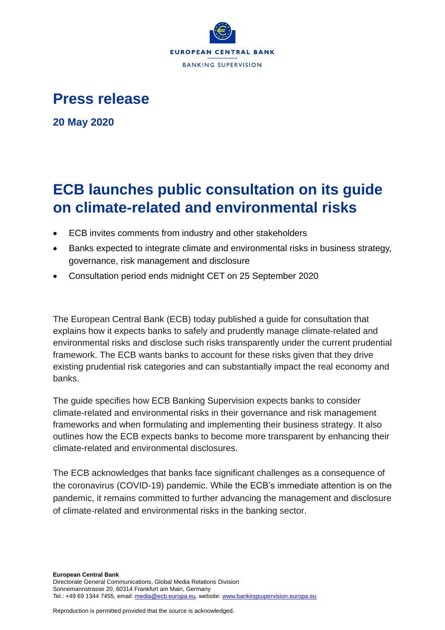

## **Press release**

**20 May 2020**

## **ECB launches public consultation on its guide on climate-related and environmental risks**

- ECB invites comments from industry and other stakeholders
- Banks expected to integrate climate and environmental risks in business strategy, governance, risk management and disclosure
- Consultation period ends midnight CET on 25 September 2020

The European Central Bank (ECB) today published a guide for consultation that explains how it expects banks to safely and prudently manage climate-related and environmental risks and disclose such risks transparently under the current prudential framework. The ECB wants banks to account for these risks given that they drive existing prudential risk categories and can substantially impact the real economy and banks.

The guide specifies how ECB Banking Supervision expects banks to consider climate-related and environmental risks in their governance and risk management frameworks and when formulating and implementing their business strategy. It also outlines how the ECB expects banks to become more transparent by enhancing their climate-related and environmental disclosures.

The ECB acknowledges that banks face significant challenges as a consequence of the coronavirus (COVID-19) pandemic. While the ECB's immediate attention is on the pandemic, it remains committed to further advancing the management and disclosure of climate-related and environmental risks in the banking sector.